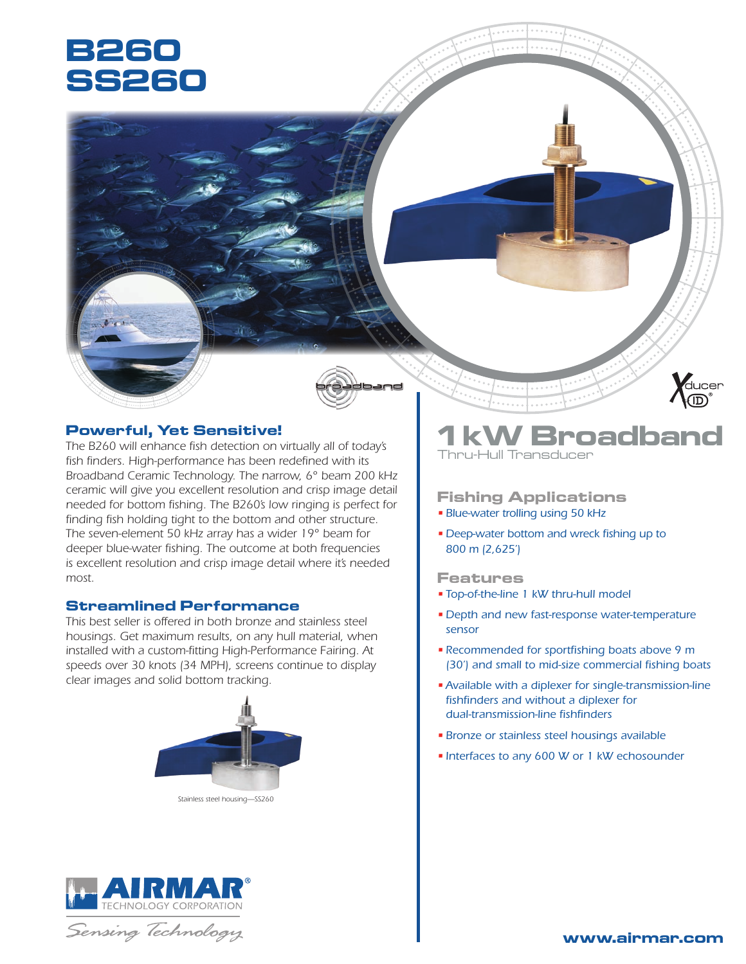# **B260 SS260**



## **Powerful, Yet Sensitive!**

*The B260 will enhance fish detection on virtually all of today's fish finders. High-performance has been redefined with its Broadband Ceramic Technology. The narrow, 6° beam 200 kHz ceramic will give you excellent resolution and crisp image detail needed for bottom fishing. The B260's low ringing is perfect for finding fish holding tight to the bottom and other structure. The seven-element 50 kHz array has a wider 19° beam for deeper blue-water fishing. The outcome at both frequencies is excellent resolution and crisp image detail where it's needed most.*

### **Streamlined Performance**

*This best seller is offered in both bronze and stainless steel housings. Get maximum results, on any hull material, when installed with a custom-fitting High-Performance Fairing. At speeds over 30 knots (34 MPH), screens continue to display clear images and solid bottom tracking.*



*Stainless steel housing—SS260*



Sensing Technology

# **Broadband** Thru-Hull Transducer

**Mucer** 

## **Fishing Applications**

- *Blue-water trolling using 50 kHz*
- *Deep-water bottom and wreck fishing up to 800 m (2,625')*

### **Features**

- *Top-of-the-line 1 kW thru-hull model*
- *Depth and new fast-response water-temperature sensor*
- *Recommended for sportfishing boats above 9 m (30') and small to mid-size commercial fishing boats*
- •*Available with a diplexer for single-transmission-line fishfinders and without a diplexer for dual-transmission-line fishfinders*
- *Bronze or stainless steel housings available*
- *Interfaces to any 600 W or 1 kW echosounder*